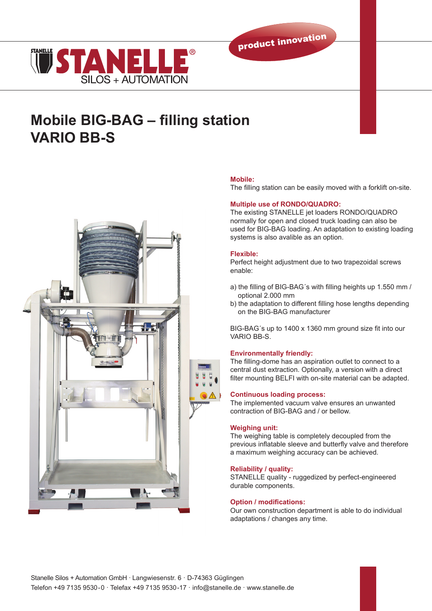



# **Mobile BIG-BAG – filling station VARIO BB-S**



# **Mobile:**

The filling station can be easily moved with a forklift on-site.

# **Multiple use of RONDO/QUADRO:**

The existing STANELLE jet loaders RONDO/QUADRO normally for open and closed truck loading can also be used for BIG-BAG loading. An adaptation to existing loading systems is also avalible as an option.

# **Flexible:**

Perfect height adjustment due to two trapezoidal screws enable:

- a) the filling of BIG-BAG´s with filling heights up 1.550 mm / optional 2.000 mm
- b) the adaptation to different filling hose lengths depending on the BIG-BAG manufacturer

BIG-BAG´s up to 1400 x 1360 mm ground size fit into our VARIO BB-S.

# **Environmentally friendly:**

The filling-dome has an aspiration outlet to connect to a central dust extraction. Optionally, a version with a direct filter mounting BELFI with on-site material can be adapted.

## **Continuous loading process:**

The implemented vacuum valve ensures an unwanted contraction of BIG-BAG and / or bellow.

## **Weighing unit:**

The weighing table is completely decoupled from the previous inflatable sleeve and butterfly valve and therefore a maximum weighing accuracy can be achieved.

### **Reliability / quality:**

STANELLE quality - ruggedized by perfect-engineered durable components.

### **Option / modifications:**

Our own construction department is able to do individual adaptations / changes any time.